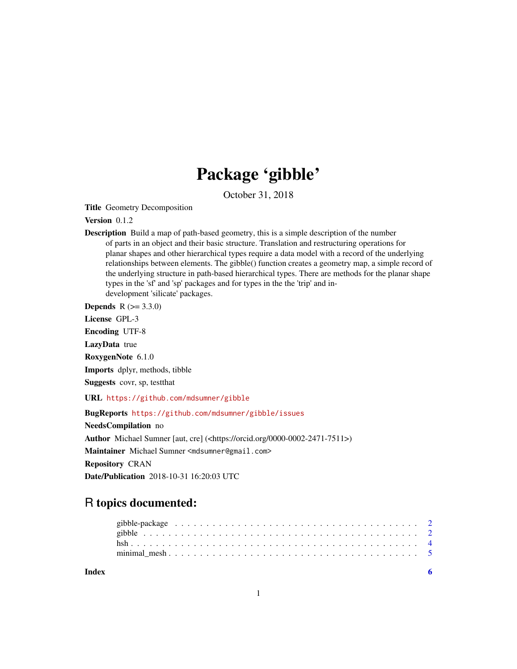## Package 'gibble'

October 31, 2018

Title Geometry Decomposition

#### Version 0.1.2

Description Build a map of path-based geometry, this is a simple description of the number of parts in an object and their basic structure. Translation and restructuring operations for planar shapes and other hierarchical types require a data model with a record of the underlying relationships between elements. The gibble() function creates a geometry map, a simple record of the underlying structure in path-based hierarchical types. There are methods for the planar shape types in the 'sf' and 'sp' packages and for types in the the 'trip' and indevelopment 'silicate' packages.

**Depends**  $R (= 3.3.0)$ 

License GPL-3

Encoding UTF-8

LazyData true

RoxygenNote 6.1.0

Imports dplyr, methods, tibble

Suggests covr, sp, testthat

URL <https://github.com/mdsumner/gibble>

BugReports <https://github.com/mdsumner/gibble/issues>

NeedsCompilation no

Author Michael Sumner [aut, cre] (<https://orcid.org/0000-0002-2471-7511>)

Maintainer Michael Sumner <mdsumner@gmail.com>

Repository CRAN

Date/Publication 2018-10-31 16:20:03 UTC

### R topics documented:

| Index |  |  |  |  |  |  |  |  |  |  |  |  |  |  |  |  |  |
|-------|--|--|--|--|--|--|--|--|--|--|--|--|--|--|--|--|--|
|       |  |  |  |  |  |  |  |  |  |  |  |  |  |  |  |  |  |
|       |  |  |  |  |  |  |  |  |  |  |  |  |  |  |  |  |  |
|       |  |  |  |  |  |  |  |  |  |  |  |  |  |  |  |  |  |
|       |  |  |  |  |  |  |  |  |  |  |  |  |  |  |  |  |  |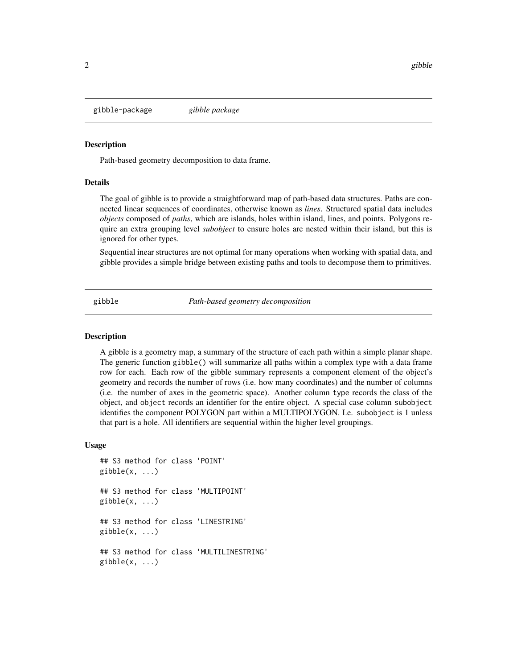<span id="page-1-0"></span>gibble-package *gibble package*

#### Description

Path-based geometry decomposition to data frame.

#### Details

The goal of gibble is to provide a straightforward map of path-based data structures. Paths are connected linear sequences of coordinates, otherwise known as *lines*. Structured spatial data includes *objects* composed of *paths*, which are islands, holes within island, lines, and points. Polygons require an extra grouping level *subobject* to ensure holes are nested within their island, but this is ignored for other types.

Sequential inear structures are not optimal for many operations when working with spatial data, and gibble provides a simple bridge between existing paths and tools to decompose them to primitives.

gibble *Path-based geometry decomposition*

#### **Description**

A gibble is a geometry map, a summary of the structure of each path within a simple planar shape. The generic function gibble() will summarize all paths within a complex type with a data frame row for each. Each row of the gibble summary represents a component element of the object's geometry and records the number of rows (i.e. how many coordinates) and the number of columns (i.e. the number of axes in the geometric space). Another column type records the class of the object, and object records an identifier for the entire object. A special case column subobject identifies the component POLYGON part within a MULTIPOLYGON. I.e. subobject is 1 unless that part is a hole. All identifiers are sequential within the higher level groupings.

#### Usage

```
## S3 method for class 'POINT'
gibble(x, \ldots)## S3 method for class 'MULTIPOINT'
gibble(x, \ldots)## S3 method for class 'LINESTRING'
gibble(x, \ldots)## S3 method for class 'MULTILINESTRING'
gibble(x, \ldots)
```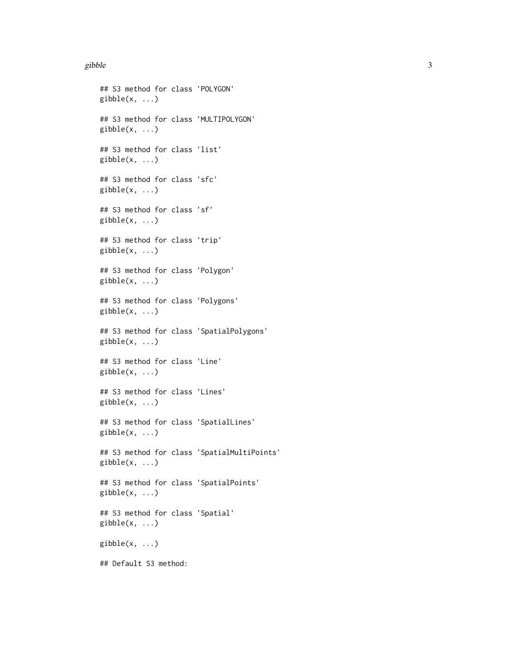#### gibble 3

## S3 method for class 'POLYGON'  $gibble(x, \ldots)$ ## S3 method for class 'MULTIPOLYGON'  $gibble(x, ...)$ ## S3 method for class 'list'  $gibble(x, ...)$ ## S3 method for class 'sfc'  $gibble(x, ...)$ ## S3 method for class 'sf'  $gibble(x, ...)$ ## S3 method for class 'trip'  $gibble(x, ...)$ ## S3 method for class 'Polygon'  $gibble(x, \ldots)$ ## S3 method for class 'Polygons' gibble(x, ...) ## S3 method for class 'SpatialPolygons'  $gibble(x, ...)$ ## S3 method for class 'Line'  $gibble(x, ...)$ ## S3 method for class 'Lines'  $gibble(x, ...)$ ## S3 method for class 'SpatialLines'  $gibble(x, \ldots)$ ## S3 method for class 'SpatialMultiPoints'  $gibble(x, ...)$ ## S3 method for class 'SpatialPoints'  $gibble(x, ...)$ ## S3 method for class 'Spatial'  $gibble(x, ...)$ gibble(x, ...) ## Default S3 method: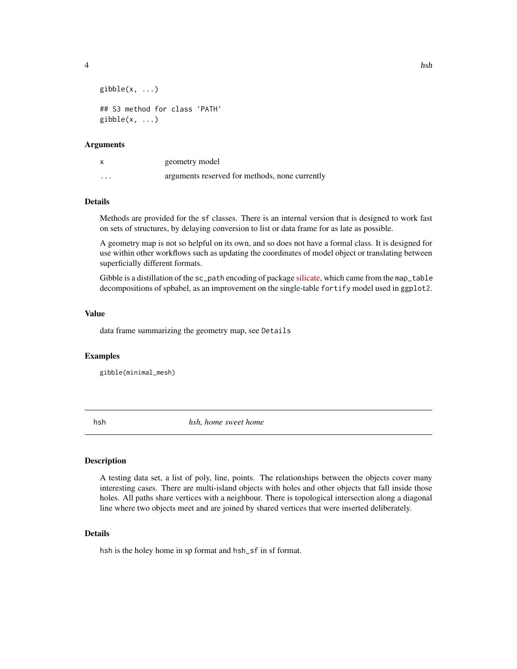<span id="page-3-0"></span>

```
gibble(x, \ldots)## S3 method for class 'PATH'
gibble(x, \ldots)
```
#### Arguments

| X | geometry model                                 |
|---|------------------------------------------------|
| . | arguments reserved for methods, none currently |

#### Details

Methods are provided for the sf classes. There is an internal version that is designed to work fast on sets of structures, by delaying conversion to list or data frame for as late as possible.

A geometry map is not so helpful on its own, and so does not have a formal class. It is designed for use within other workflows such as updating the coordinates of model object or translating between superficially different formats.

Gibble is a distillation of the sc\_path encoding of package [silicate,](https://github.com/hypertidy/silicate) which came from the map\_table decompositions of spbabel, as an improvement on the single-table fortify model used in ggplot2.

#### Value

data frame summarizing the geometry map, see Details

#### Examples

gibble(minimal\_mesh)

hsh *hsh, home sweet home*

#### Description

A testing data set, a list of poly, line, points. The relationships between the objects cover many interesting cases. There are multi-island objects with holes and other objects that fall inside those holes. All paths share vertices with a neighbour. There is topological intersection along a diagonal line where two objects meet and are joined by shared vertices that were inserted deliberately.

#### Details

hsh is the holey home in sp format and hsh\_sf in sf format.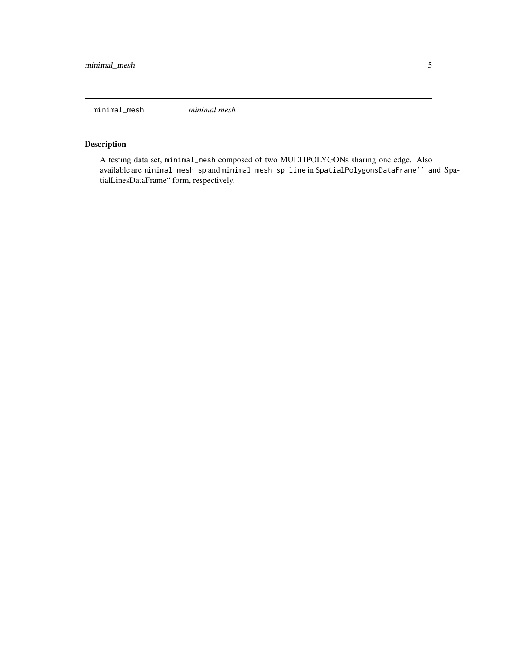<span id="page-4-0"></span>minimal\_mesh *minimal mesh*

#### Description

A testing data set, minimal\_mesh composed of two MULTIPOLYGONs sharing one edge. Also available are minimal\_mesh\_sp and minimal\_mesh\_sp\_line in SpatialPolygonsDataFrame`` and SpatialLinesDataFrame" form, respectively.